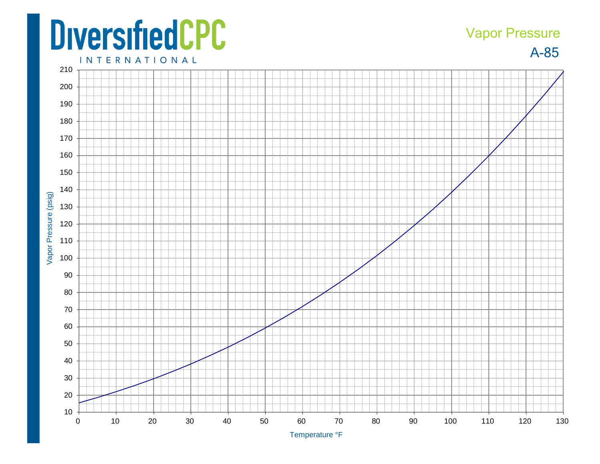## **DiversifiedCPC**

## Vapor Pressure

A -85